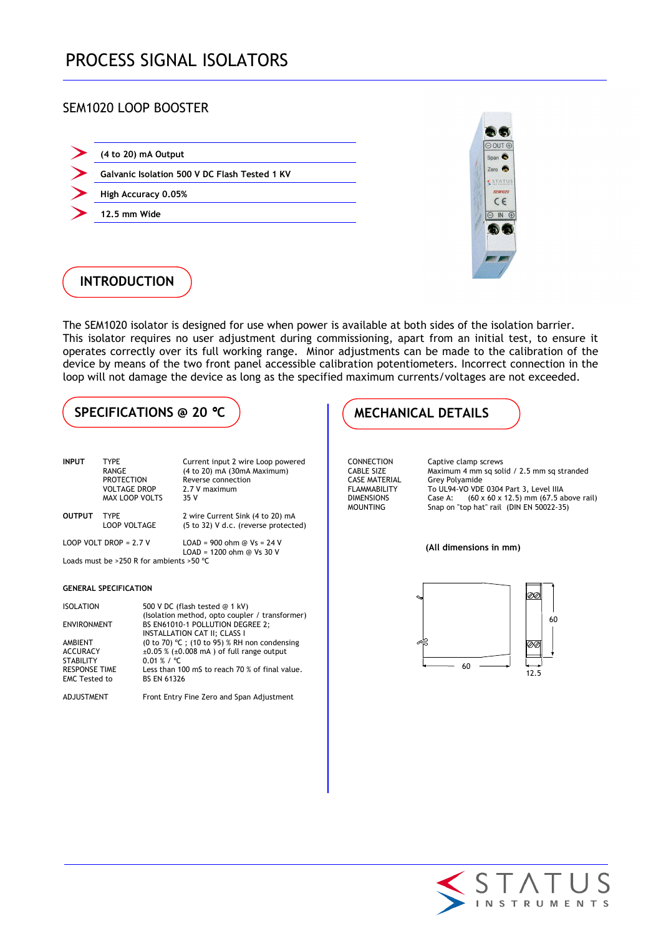## SEM1020 LOOP BOOSTER

|  | (4 to 20) mA Output |  |
|--|---------------------|--|
|--|---------------------|--|

- **Galvanic Isolation 500 V DC Flash Tested 1 KV**
- **High Accuracy 0.05%**
- **12.5 mm Wide**



## **INTRODUCTION**

The SEM1020 isolator is designed for use when power is available at both sides of the isolation barrier. This isolator requires no user adjustment during commissioning, apart from an initial test, to ensure it operates correctly over its full working range. Minor adjustments can be made to the calibration of the device by means of the two front panel accessible calibration potentiometers. Incorrect connection in the loop will not damage the device as long as the specified maximum currents/voltages are not exceeded.

# SPECIFICATIONS @ 20 °C **WECHANICAL DETAILS**

| <b>INPUT</b>                             | <b>TYPE</b>              | Current input 2 wire Loop powered    |
|------------------------------------------|--------------------------|--------------------------------------|
|                                          | RANGE                    | (4 to 20) mA (30mA Maximum)          |
|                                          | <b>PROTECTION</b>        | Reverse connection                   |
|                                          | <b>VOLTAGE DROP</b>      | 2.7 V maximum                        |
|                                          | <b>MAX LOOP VOLTS</b>    | 35V                                  |
| <b>OUTPUT</b>                            | <b>TYPF</b>              | 2 wire Current Sink (4 to 20) mA     |
|                                          | LOOP VOLTAGE             | (5 to 32) V d.c. (reverse protected) |
|                                          | LOOP VOLT DROP = $2.7$ V | $LOAD = 900$ ohm @ $Vs = 24$ V       |
|                                          |                          | $LOAD = 1200$ ohm @ Vs 30 V          |
| Loads must be >250 R for ambients >50 °C |                          |                                      |

### **GENERAL SPECIFICATION**

| <b>ISOLATION</b>                                                                               | 500 V DC (flash tested @ 1 kV)<br>(Isolation method, opto coupler / transformer)                                                                                                               |
|------------------------------------------------------------------------------------------------|------------------------------------------------------------------------------------------------------------------------------------------------------------------------------------------------|
| <b>ENVIRONMENT</b>                                                                             | BS EN61010-1 POLLUTION DEGREE 2;<br>INSTALLATION CAT II; CLASS I                                                                                                                               |
| AMBIENT<br><b>ACCURACY</b><br><b>STABILITY</b><br><b>RESPONSE TIME</b><br><b>EMC Tested to</b> | (0 to 70) °C ; (10 to 95) % RH non condensing<br>$\pm 0.05$ % ( $\pm 0.008$ mA) of full range output<br>$0.01 \% / °C$<br>Less than 100 mS to reach 70 % of final value.<br><b>BS EN 61326</b> |
| ADJUSTMENT                                                                                     | Front Entry Fine Zero and Span Adjustment                                                                                                                                                      |

CASE MATERIAL Grey Polyamide<br>FLAMMABILITY To UL94-VO VDE

CONNECTION Captive clamp screws<br>CABLE SIZE Maximum 4 mm sq sol CABLE SIZE Maximum 4 mm sq solid / 2.5 mm sq stranded FLAMMABILITY To UL94-VO VDE 0304 Part 3, Level IIIA<br>DIMENSIONS Case A:  $(60 \times 60 \times 12, 5)$  mm (67.5 al Case A:  $(60 \times 60 \times 12.5)$  mm (67.5 above rail) MOUNTING Snap on "top hat" rail (DIN EN 50022-35)

### **(All dimensions in mm)**